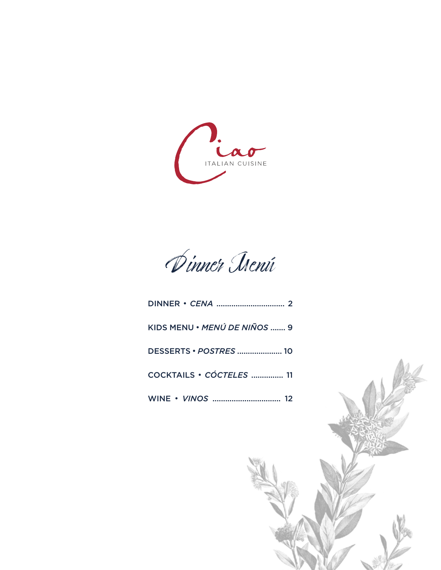

Dinner Menú

| KIDS MENU • MENÚ DE NIÑOS  9 |
|------------------------------|
|                              |
| COCKTAILS · CÓCTELES  11     |
|                              |

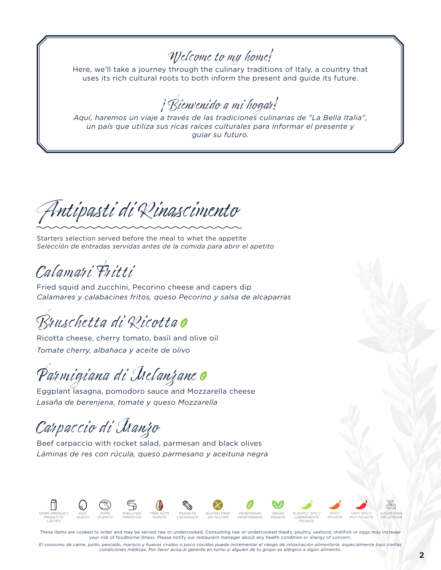### Welcome to my home!

Here, we'll take a journey through the culinary traditions of Italy, a country that uses its rich cultural roots to both inform the present and guide its future.

¡Bienvenido a mi hogar!

*Aquí, haremos un viaje a través de las tradiciones culinarias de "La Bella Italia", un país que utiliza sus ricas raíces culturales para informar el presente y guiar su futuro.*

Antipasti di Rinascimento

Starters selection served before the meal to whet the appetite *Selección de entradas servidas antes de la comida para abrir el apetito*

Calamari Fritti

Fried squid and zucchini, Pecorino cheese and capers dip *Calamares y calabacines fritos, queso Pecorino y salsa de alcaparras*

Bruschetta di Ricotta

Ricotta cheese, cherry tomato, basil and olive oil *Tomate cherry, albahaca y aceite de olivo*

Parmigiana di Iselanzane o

Eggplant lasagna, pomodoro sauce and Mozzarella cheese *Lasaña de berenjena, tomate y queso Mozzarella*

Carpaccio di Manzo

Beef carpaccio with rocket salad, parmesan and black olives *Láminas de res con rúcula, queso parmesano y aceituna negra*



These items are cooked to order and may be served raw or undercooked. Consuming raw or undercooked meats, poultry, seafood, shellfish or eggs may increase your risk of foodborne illness. Please notify our restaurant manager about any health condition or allergy of concern.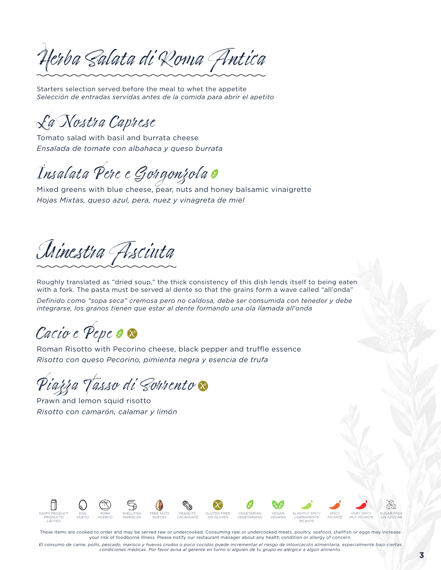Herba Salata di Roma Antica

Starters selection served before the meal to whet the appetite *Selección de entradas servidas antes de la comida para abrir el apetito*

La Nostra Caprese

Tomato salad with basil and burrata cheese *Ensalada de tomate con albahaca y queso burrata*

Insalata Pere e Gorgonzola

Mixed greens with blue cheese, pear, nuts and honey balsamic vinaigrette *Hojas Mixtas, queso azul, pera, nuez y vinagreta de miel*

Minestra Asciuta

Roughly translated as "dried soup," the thick consistency of this dish lends itself to being eaten with a fork. The pasta must be served al dente so that the grains form a wave called "all'onda"

*Definido como "sopa seca" cremosa pero no caldosa, debe ser consumida con tenedor y debe integrarse, los granos tienen que estar al dente formando una ola llamada all'onda*

Cacio e Pepe o x

Roman Risotto with Pecorino cheese, black pepper and truffle essence *Risotto con queso Pecorino, pimienta negra y esencia de trufa*

<sup>S</sup>iazza Tasso di Sorrento **S** 

Prawn and lemon squid risotto *Risotto con camarón, calamar y limón*



These items are cooked to order and may be served raw or undercooked. Consuming raw or undercooked meats, poultry, seafood, shellfish or eggs may increase your risk of foodborne illness. Please notify our restaurant manager about any health condition or allergy of concern.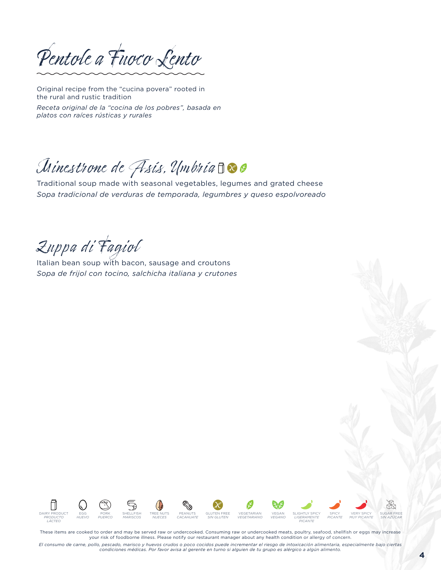Pentole a Fuoco Lento

Original recipe from the "cucina povera" rooted in the rural and rustic tradition

*Receta original de la "cocina de los pobres", basada en platos con raíces rústicas y rurales*

## Minestrone de Fisis, Umbria  $\Box$  @

Traditional soup made with seasonal vegetables, legumes and grated cheese *Sopa tradicional de verduras de temporada, legumbres y queso espolvoreado*

Zuppa di Fagiol

Italian bean soup with bacon, sausage and croutons *Sopa de frijol con tocino, salchicha italiana y crutones*



These items are cooked to order and may be served raw or undercooked. Consuming raw or undercooked meats, poultry, seafood, shellfish or eggs may increase your risk of foodborne illness. Please notify our restaurant manager about any health condition or allergy of concern.

El consumo de carne, pollo, pescado, marisco y huevos crudos o poco cocidos puede incrementar el riesgo de intoxicación alimentaria, especialmente bajo ciertas<br>condiciones médicas. Por favor avisa al gerente en turno si al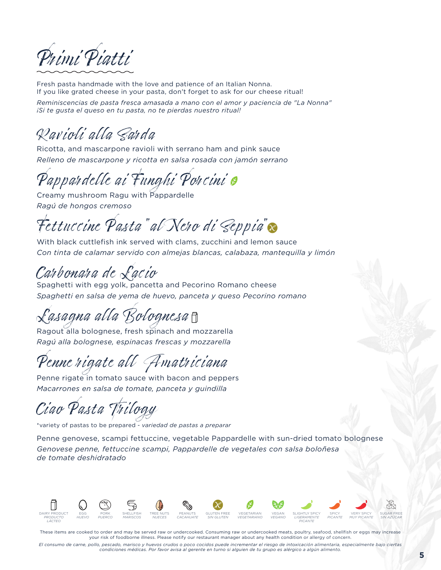

Fresh pasta handmade with the love and patience of an Italian Nonna. If you like grated cheese in your pasta, don't forget to ask for our cheese ritual! *Reminiscencias de pasta fresca amasada a mano con el amor y paciencia de "La Nonna"* 

*¡Si te gusta el queso en tu pasta, no te pierdas nuestro ritual!*

## Ravioli alla Sarda

Ricotta, and mascarpone ravioli with serrano ham and pink sauce *Relleno de mascarpone y ricotta en salsa rosada con jamón serrano*

Pappardelle ai Funghi Porcini e

Creamy mushroom Ragu with Pappardelle *Ragú de hongos cremoso*

Fettuccine Pasta" al Nero di Seppia"

With black cuttlefish ink served with clams, zucchini and lemon sauce *Con tinta de calamar servido con almejas blancas, calabaza, mantequilla y limón*

### Carbonara de Lacio

Spaghetti with egg yolk, pancetta and Pecorino Romano cheese *Spaghetti en salsa de yema de huevo, panceta y queso Pecorino romano*

Lasagna alla Bolognesa

Ragout alla bolognese, fresh spinach and mozzarella *Ragú alla bolognese, espinacas frescas y mozzarella*

Penne rigate all Amatriciana

Penne rigate in tomato sauce with bacon and peppers *Macarrones en salsa de tomate, panceta y guindilla*

Ciao Pasta Trilogy

\*variety of pastas to be prepared - *variedad de pastas a preparar*

Penne genovese, scampi fettuccine, vegetable Pappardelle with sun-dried tomato bolognese *Genovese penne, fettuccine scampi, Pappardelle de vegetales con salsa boloñesa de tomate deshidratado*



These items are cooked to order and may be served raw or undercooked. Consuming raw or undercooked meats, poultry, seafood, shellfish or eggs may increase your risk of foodborne illness. Please notify our restaurant manager about any health condition or allergy of concern.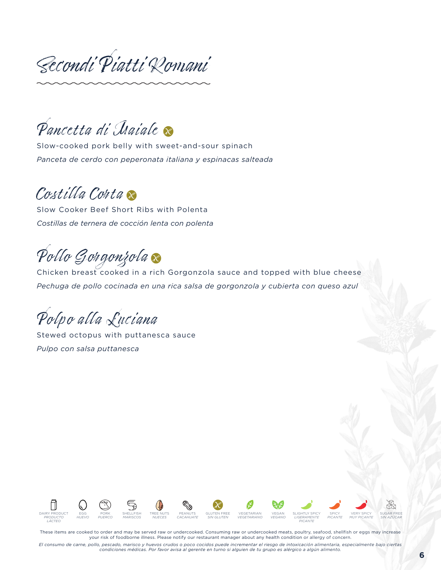Secondi Piatti Romani

Pancetta di Iraiale

Slow-cooked pork belly with sweet-and-sour spinach *Panceta de cerdo con peperonata italiana y espinacas salteada*

### Costilla Conta

Slow Cooker Beef Short Ribs with Polenta *Costillas de ternera de cocción lenta con polenta*

Pollo Gorgonzola

Chicken breast cooked in a rich Gorgonzola sauce and topped with blue cheese *Pechuga de pollo cocinada en una rica salsa de gorgonzola y cubierta con queso azul*

Polpo alla Luciana

Stewed octopus with puttanesca sauce *Pulpo con salsa puttanesca*



These items are cooked to order and may be served raw or undercooked. Consuming raw or undercooked meats, poultry, seafood, shellfish or eggs may increase your risk of foodborne illness. Please notify our restaurant manager about any health condition or allergy of concern.

El consumo de carne, pollo, pescado, marisco y huevos crudos o poco cocidos puede incrementar el riesgo de intoxicación alimentaria, especialmente bajo ciertas<br>condiciones médicas. Por favor avisa al gerente en turno si al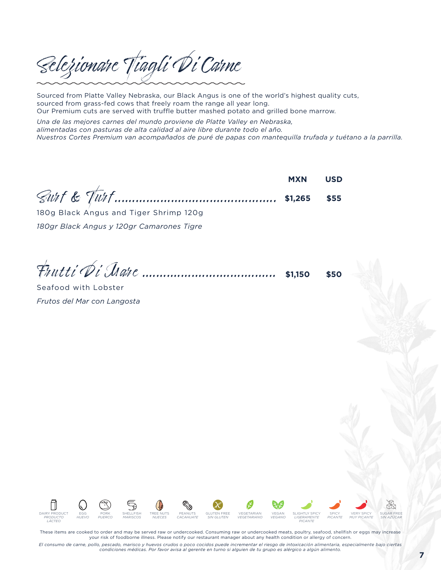Selezionare Tiagli Di Carne

Sourced from Platte Valley Nebraska, our Black Angus is one of the world's highest quality cuts, sourced from grass-fed cows that freely roam the range all year long. Our Premium cuts are served with truffle butter mashed potato and grilled bone marrow.

*Una de las mejores carnes del mundo proviene de Platte Valley en Nebraska, alimentadas con pasturas de alta calidad al aire libre durante todo el año. Nuestros Cortes Premium van acompañados de puré de papas con mantequilla trufada y tuétano a la parrilla.*

Surf & Turf.............................................. **MXN \$1,265 USD \$55**

180g Black Angus and Tiger Shrimp 120g *180gr Black Angus y 120gr Camarones Tigre*

Frutti Di Mare ...................................... **\$1,150 \$50**

Seafood with Lobster *Frutos del Mar con Langosta*



These items are cooked to order and may be served raw or undercooked. Consuming raw or undercooked meats, poultry, seafood, shellfish or eggs may increase your risk of foodborne illness. Please notify our restaurant manager about any health condition or allergy of concern.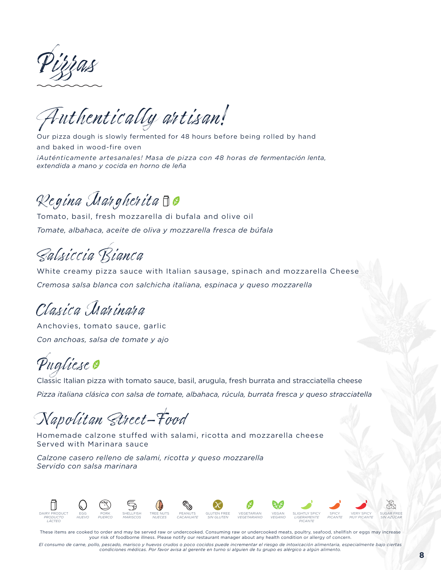Pizzas

Authentically artisan!

Our pizza dough is slowly fermented for 48 hours before being rolled by hand and baked in wood-fire oven *¡Auténticamente artesanales! Masa de pizza con 48 horas de fermentación lenta, extendida a mano y cocida en horno de leña*

## Regina Margherita

Tomato, basil, fresh mozzarella di bufala and olive oil *Tomate, albahaca, aceite de oliva y mozzarella fresca de búfala*

Salsiccia Bianca

White creamy pizza sauce with Italian sausage, spinach and mozzarella Cheese *Cremosa salsa blanca con salchicha italiana, espinaca y queso mozzarella*

Clasica Marinara

Anchovies, tomato sauce, garlic *Con anchoas, salsa de tomate y ajo*

## Pugliese @

Classic Italian pizza with tomato sauce, basil, arugula, fresh burrata and stracciatella cheese *Pizza italiana clásica con salsa de tomate, albahaca, rúcula, burrata fresca y queso stracciatella*

## Napolitan Street-Food

Homemade calzone stuffed with salami, ricotta and mozzarella cheese Served with Marinara sauce

*Calzone casero relleno de salami, ricotta y queso mozzarella Servido con salsa marinara*



These items are cooked to order and may be served raw or undercooked. Consuming raw or undercooked meats, poultry, seafood, shellfish or eggs may increase your risk of foodborne illness. Please notify our restaurant manager about any health condition or allergy of concern.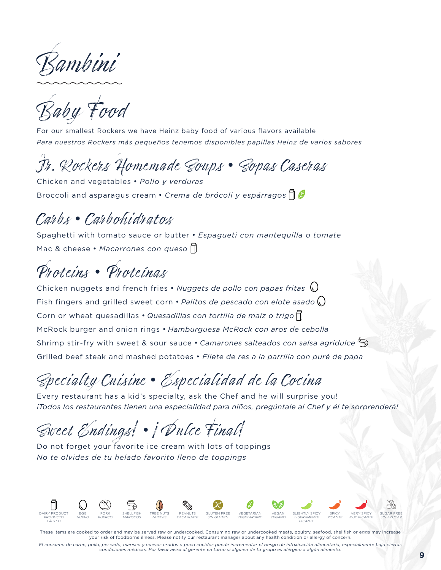Bambini

Baby Food

For our smallest Rockers we have Heinz baby food of various flavors available *Para nuestros Rockers más pequeños tenemos disponibles papillas Heinz de varios sabores*

## Jr. Rockers Homemade Soups • Sopas Caseras

Chicken and vegetables • *Pollo y verduras*  Broccoli and asparagus cream • *Crema de brócoli y espárragos* 

### Carbs • Carbohidratos

Spaghetti with tomato sauce or butter • *Espagueti con mantequilla o tomate*  Mac & cheese • *Macarrones con queso*

## Proteins • Proteínas

Chicken nuggets and french fries • *Nuggets de pollo con papas fritas* Fish fingers and grilled sweet corn • *Palitos de pescado con elote asado* Corn or wheat quesadillas • *Quesadillas con tortilla de maíz o trigo* McRock burger and onion rings • *Hamburguesa McRock con aros de cebolla* Shrimp stir-fry with sweet & sour sauce • *Camarones salteados con salsa agridulce* Grilled beef steak and mashed potatoes • *Filete de res a la parrilla con puré de papa*

## Specialty Cuisine • Especialidad de la Cocina

Every restaurant has a kid's specialty, ask the Chef and he will surprise you! *¡Todos los restaurantes tienen una especialidad para niños, pregúntale al Chef y él te sorprenderá!* 

Sweet Endings! • ¡Dulce Final!

Do not forget your favorite ice cream with lots of toppings *No te olvides de tu helado favorito lleno de toppings*



These items are cooked to order and may be served raw or undercooked. Consuming raw or undercooked meats, poultry, seafood, shellfish or eggs may increase your risk of foodborne illness. Please notify our restaurant manager about any health condition or allergy of concern.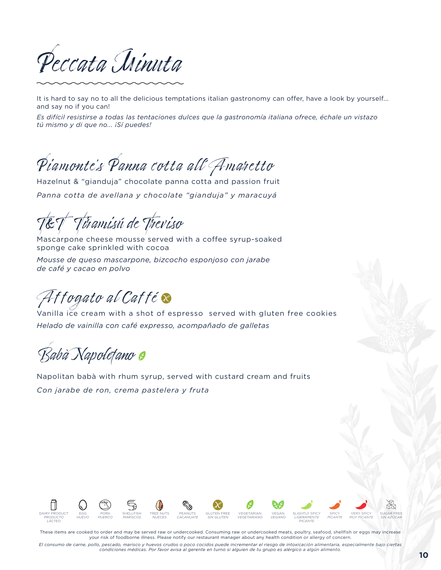Peccata Minuta

It is hard to say no to all the delicious temptations italian gastronomy can offer, have a look by yourself... and say no if you can!

*Es difícil resistirse a todas las tentaciones dulces que la gastronomía italiana ofrece, échale un vistazo tú mismo y di que no... ¡Sí puedes!*

Piamonte's Panna cotta all'Amaretto

Hazelnut & "gianduja" chocolate panna cotta and passion fruit *Panna cotta de avellana y chocolate "gianduja" y maracuyá*

Tiramisú de Treviso

Mascarpone cheese mousse served with a coffee syrup-soaked sponge cake sprinkled with cocoa

*Mousse de queso mascarpone, bizcocho esponjoso con jarabe de café y cacao en polvo*

Affogato al Caffé **s** 

Vanilla ice cream with a shot of espresso served with gluten free cookies *Helado de vainilla con café expresso, acompañado de galletas*

Babà Napoletano

Napolitan babà with rhum syrup, served with custard cream and fruits *Con jarabe de ron, crema pastelera y fruta* 



These items are cooked to order and may be served raw or undercooked. Consuming raw or undercooked meats, poultry, seafood, shellfish or eggs may increase your risk of foodborne illness. Please notify our restaurant manager about any health condition or allergy of concern.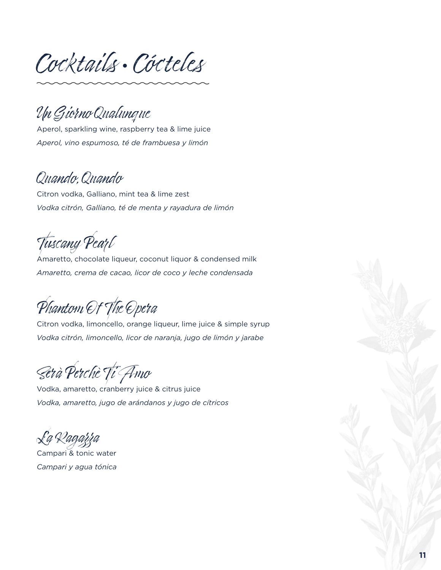Cocktails • Cócteles

Un Giorno Qualunque

Aperol, sparkling wine, raspberry tea & lime juice *Aperol, vino espumoso, té de frambuesa y limón*

### Quando, Quando

Citron vodka, Galliano, mint tea & lime zest *Vodka citrón, Galliano, té de menta y rayadura de limón* 

Tuscany Pearl

Amaretto, chocolate liqueur, coconut liquor & condensed milk *Amaretto, crema de cacao, licor de coco y leche condensada*

Phantom Of The Opera

Citron vodka, limoncello, orange liqueur, lime juice & simple syrup *Vodka citrón, limoncello, licor de naranja, jugo de limón y jarabe*

Serà Perchè Ti Amo

Vodka, amaretto, cranberry juice & citrus juice *Vodka, amaretto, jugo de arándanos y jugo de cítricos* 

La Ragazza

Campari & tonic water *Campari y agua tónica*

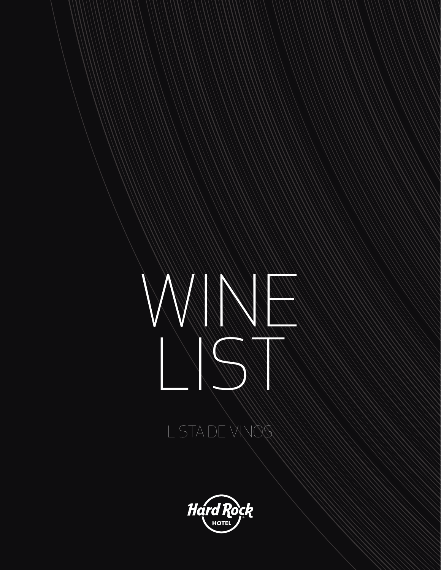

## LISTA DE VINOS

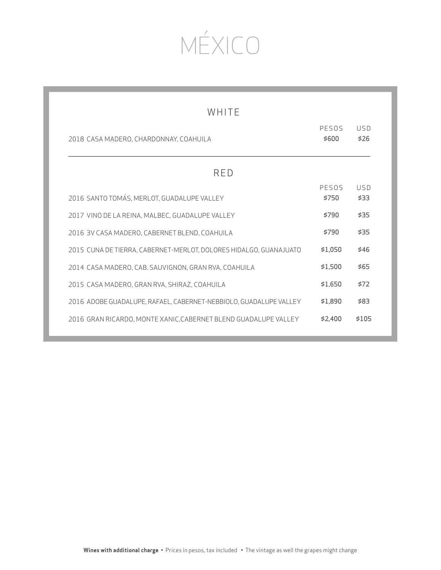# MÉXICO

| WHITE                                                             |                |             |
|-------------------------------------------------------------------|----------------|-------------|
| 2018 CASA MADERO, CHARDONNAY, COAHUILA                            | PESOS<br>\$600 | USD<br>\$26 |
| RED                                                               |                |             |
| 2016 SANTO TOMÁS, MERLOT, GUADALUPE VALLEY                        | PESOS<br>\$750 | USD<br>\$33 |
| 2017 VINO DE LA REINA, MALBEC, GUADALUPE VALLEY                   | \$790          | \$35        |
| 2016 3V CASA MADERO, CABERNET BLEND, COAHUILA                     | \$790          | \$35        |
| 2015 CUNA DE TIERRA, CABERNET-MERLOT, DOLORES HIDALGO, GUANAJUATO | \$1.050        | \$46        |
| 2014 CASA MADERO, CAB. SAUVIGNON, GRAN RVA, COAHUILA              | \$1,500        | \$65        |
| 2015 CASA MADERO, GRAN RVA, SHIRAZ, COAHUILA                      | \$1.650        | \$72        |
| 2016 ADOBE GUADALUPE, RAFAEL, CABERNET-NEBBIOLO, GUADALUPE VALLEY | \$1,890        | \$83        |
| 2016 GRAN RICARDO, MONTE XANIC, CABERNET BLEND GUADALUPE VALLEY   | \$2,400        | \$105       |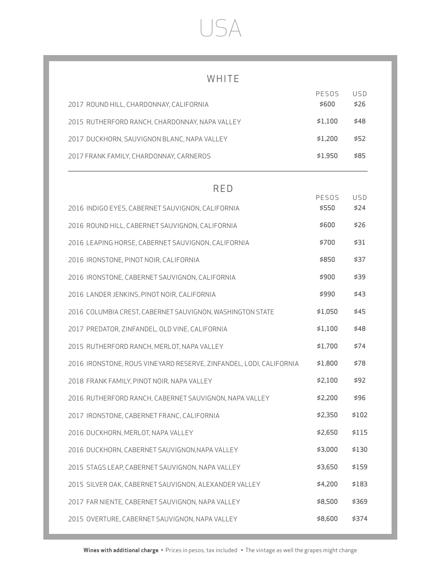## USA

### WHITE

| 2017 ROUND HILL, CHARDONNAY, CALIFORNIA                            | PESOS<br>\$600 | USD<br>\$26 |
|--------------------------------------------------------------------|----------------|-------------|
|                                                                    |                |             |
| 2015 RUTHERFORD RANCH, CHARDONNAY, NAPA VALLEY                     | \$1,100        | \$48        |
| 2017 DUCKHORN, SAUVIGNON BLANC, NAPA VALLEY                        | \$1,200        | \$52        |
| 2017 FRANK FAMILY, CHARDONNAY, CARNEROS                            | \$1,950        | \$85        |
|                                                                    |                |             |
| <b>RED</b>                                                         | PESOS          | USD         |
| 2016 INDIGO EYES, CABERNET SAUVIGNON, CALIFORNIA                   | \$550          | \$24        |
| 2016 ROUND HILL, CABERNET SAUVIGNON, CALIFORNIA                    | \$600          | \$26        |
| 2016 LEAPING HORSE, CABERNET SAUVIGNON, CALIFORNIA                 | \$700          | \$31        |
| 2016 IRONSTONE, PINOT NOIR, CALIFORNIA                             | \$850          | \$37        |
| 2016 IRONSTONE, CABERNET SAUVIGNON, CALIFORNIA                     | \$900          | \$39        |
| 2016 LANDER JENKINS, PINOT NOIR, CALIFORNIA                        | \$990          | \$43        |
| 2016 COLUMBIA CREST, CABERNET SAUVIGNON, WASHINGTON STATE          | \$1,050        | \$45        |
| 2017 PREDATOR, ZINFANDEL, OLD VINE, CALIFORNIA                     | \$1,100        | \$48        |
| 2015 RUTHERFORD RANCH, MERLOT, NAPA VALLEY                         | \$1,700        | \$74        |
| 2016 IRONSTONE, ROUS VINEYARD RESERVE, ZINFANDEL, LODI, CALIFORNIA | \$1,800        | \$78        |
| 2018 FRANK FAMILY, PINOT NOIR, NAPA VALLEY                         | \$2,100        | \$92        |
| 2016 RUTHERFORD RANCH, CABERNET SAUVIGNON, NAPA VALLEY             | \$2,200        | \$96        |
| 2017 IRONSTONE, CABERNET FRANC, CALIFORNIA                         | \$2,350        | \$102       |
| 2016 DUCKHORN, MERLOT, NAPA VALLEY                                 | \$2,650        | \$115       |
| 2016 DUCKHORN, CABERNET SAUVIGNON, NAPA VALLEY                     | \$3,000        | \$130       |
| 2015 STAGS LEAP, CABERNET SAUVIGNON, NAPA VALLEY                   | \$3,650        | \$159       |
| 2015 SILVER OAK, CABERNET SAUVIGNON, ALEXANDER VALLEY              | \$4,200        | \$183       |
| 2017 FAR NIENTE, CABERNET SAUVIGNON, NAPA VALLEY                   | \$8,500        | \$369       |
| 2015 OVERTURE, CABERNET SAUVIGNON, NAPA VALLEY                     | \$8,600        | \$374       |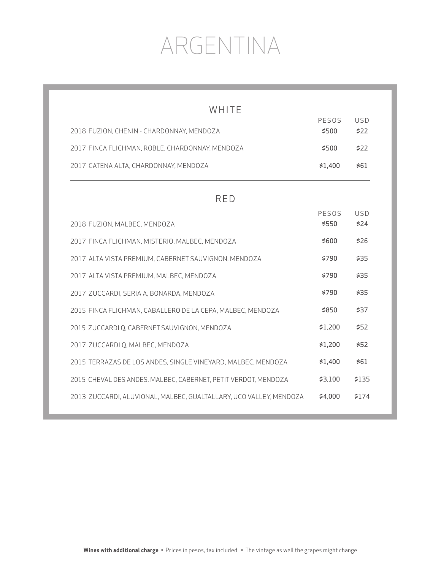# ARGENTINA

| WHITE                                                              |                |                    |
|--------------------------------------------------------------------|----------------|--------------------|
| 2018 FUZION, CHENIN - CHARDONNAY, MENDOZA                          | PESOS<br>\$500 | <b>USD</b><br>\$22 |
| 2017 FINCA FLICHMAN, ROBLE, CHARDONNAY, MENDOZA                    | \$500          | \$22               |
| 2017 CATENA ALTA, CHARDONNAY, MENDOZA                              | \$1,400        | \$61               |
| <b>RED</b>                                                         |                |                    |
| 2018 FUZION, MALBEC, MENDOZA                                       | PESOS<br>\$550 | USD<br>\$24        |
| 2017 FINCA FLICHMAN, MISTERIO, MALBEC, MENDOZA                     | \$600          | \$26               |
| 2017 ALTA VISTA PREMIUM, CABERNET SAUVIGNON, MENDOZA               | \$790          | \$35               |
| 2017 ALTA VISTA PREMIUM, MALBEC, MENDOZA                           | \$790          | \$35               |
| 2017 ZUCCARDI, SERIA A, BONARDA, MENDOZA                           | \$790          | \$35               |
| 2015 FINCA FLICHMAN, CABALLERO DE LA CEPA, MALBEC, MENDOZA         | \$850          | \$37               |
| 2015 ZUCCARDI Q, CABERNET SAUVIGNON, MENDOZA                       | \$1,200        | \$52               |
| 2017 ZUCCARDI Q, MALBEC, MENDOZA                                   | \$1,200        | \$52               |
| 2015 TERRAZAS DE LOS ANDES, SINGLE VINEYARD, MALBEC, MENDOZA       | \$1,400        | \$61               |
| 2015 CHEVAL DES ANDES, MALBEC, CABERNET, PETIT VERDOT, MENDOZA     | \$3,100        | \$135              |
| 2013 ZUCCARDI, ALUVIONAL, MALBEC, GUALTALLARY, UCO VALLEY, MENDOZA | \$4,000        | \$174              |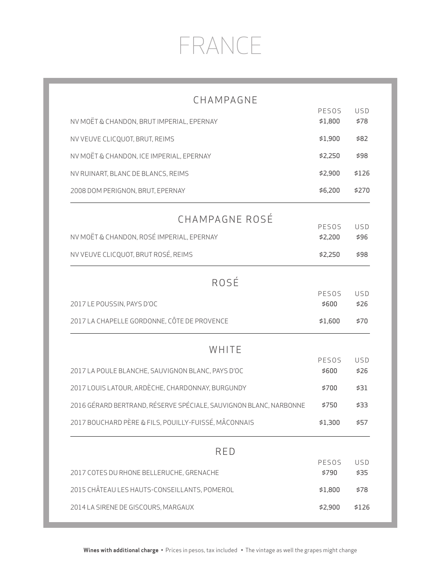# FRANCE

| CHAMPAGNE                                                         |                  |                    |
|-------------------------------------------------------------------|------------------|--------------------|
| NV MOËT & CHANDON, BRUT IMPERIAL, EPERNAY                         | PESOS<br>\$1,800 | USD<br>\$78        |
| NV VEUVE CLICQUOT, BRUT, REIMS                                    | \$1,900          | \$82               |
| NV MOËT & CHANDON, ICE IMPERIAL, EPERNAY                          | \$2,250          | \$98               |
| NV RUINART, BLANC DE BLANCS, REIMS                                | \$2,900          | \$126              |
| 2008 DOM PERIGNON, BRUT, EPERNAY                                  | \$6,200          | \$270              |
| CHAMPAGNE ROSÉ                                                    |                  |                    |
| NV MOËT & CHANDON, ROSÉ IMPERIAL, EPERNAY                         | PESOS<br>\$2,200 | <b>USD</b><br>\$96 |
| NV VEUVE CLICQUOT, BRUT ROSÉ, REIMS                               | \$2,250          | \$98               |
| ROSÉ                                                              |                  |                    |
|                                                                   | PESOS            | USD                |
| 2017 LE POUSSIN, PAYS D'OC                                        | \$600            | \$26               |
| 2017 LA CHAPELLE GORDONNE, CÔTE DE PROVENCE                       | \$1,600          | \$70               |
| WHITE                                                             |                  |                    |
| 2017 LA POULE BLANCHE, SAUVIGNON BLANC, PAYS D'OC                 | PESOS<br>\$600   | USD<br>\$26        |
| 2017 LOUIS LATOUR, ARDÈCHE, CHARDONNAY, BURGUNDY                  | \$700            | \$31               |
| 2016 GÉRARD BERTRAND, RÉSERVE SPÉCIALE, SAUVIGNON BLANC, NARBONNE | \$750            | \$33               |
| 2017 BOUCHARD PÈRE & FILS, POUILLY-FUISSÉ, MÂCONNAIS              | \$1,300          | \$57               |
| <b>RED</b>                                                        |                  |                    |
|                                                                   | PESOS<br>\$790   | <b>USD</b><br>\$35 |
| 2017 COTES DU RHONE BELLERUCHE, GRENACHE                          |                  |                    |
| 2015 CHÂTEAU LES HAUTS-CONSEILLANTS, POMEROL                      | \$1,800          | \$78               |
| 2014 LA SIRENE DE GISCOURS, MARGAUX                               | \$2,900          | \$126              |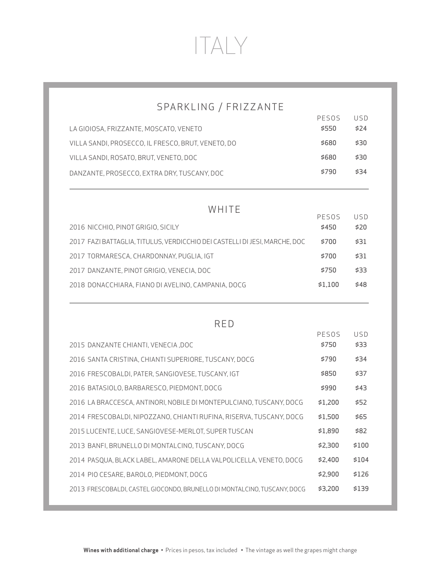# ITALY

### SPARKLING / FRIZZANTE

|                                                    | PESOS | USD  |
|----------------------------------------------------|-------|------|
| LA GIOIOSA, FRIZZANTE, MOSCATO, VENETO             | \$550 | 574  |
| VILLA SANDI, PROSECCO, IL FRESCO, BRUT, VENETO, DO | \$680 | \$30 |
| VILLA SANDI, ROSATO, BRUT, VENETO, DOC             | \$680 | \$30 |
| DANZANTE, PROSECCO, EXTRA DRY, TUSCANY, DOC        | \$790 | \$34 |

### WHITE

|                                                                            | PESOS   | 115D |
|----------------------------------------------------------------------------|---------|------|
| 2016 NICCHIO, PINOT GRIGIO, SICILY                                         | \$450   | \$20 |
| 2017 FAZI BATTAGLIA. TITULUS. VERDICCHIO DEI CASTELLI DI JESI. MARCHE. DOC | \$700   | \$31 |
| 2017 TORMARESCA, CHARDONNAY, PUGLIA, IGT                                   | \$700   | \$31 |
| 2017 DANZANTE, PINOT GRIGIO, VENECIA, DOC                                  | \$750   | \$33 |
| 2018 DONACCHIARA, FIANO DI AVELINO, CAMPANIA, DOCG                         | \$1.100 | \$48 |
|                                                                            |         |      |

#### RED

|                                                                          | PESOS   | USD   |
|--------------------------------------------------------------------------|---------|-------|
| 2015 DANZANTE CHIANTI, VENECIA, DOC                                      | \$750   | \$33  |
| 2016 SANTA CRISTINA, CHIANTI SUPERIORE, TUSCANY, DOCG                    | \$790   | \$34  |
| 2016 FRESCOBALDI, PATER, SANGIOVESE, TUSCANY, IGT                        | \$850   | \$37  |
| 2016 BATASIOLO, BARBARESCO, PIEDMONT, DOCG                               | \$990   | \$43  |
| 2016 LA BRACCESCA, ANTINORI, NOBILE DI MONTEPULCIANO, TUSCANY, DOCG      | \$1.200 | \$52  |
| 2014 FRESCOBALDI, NIPOZZANO, CHIANTI RUFINA, RISERVA, TUSCANY, DOCG      | \$1.500 | \$65  |
| 2015 LUCENTE, LUCE, SANGIOVESE-MERLOT, SUPER TUSCAN                      | \$1.890 | \$82  |
| 2013 BANFI, BRUNELLO DI MONTALCINO, TUSCANY, DOCG                        | \$2.300 | \$100 |
| 2014 PASOUA. BLACK LABEL. AMARONE DELLA VALPOLICELLA. VENETO. DOCG       | \$2.400 | \$104 |
| 2014 PIO CESARE, BAROLO, PIEDMONT, DOCG                                  | \$2.900 | \$126 |
| 2013 FRESCOBALDI, CASTEL GIOCONDO, BRUNELLO DI MONTALCINO, TUSCANY, DOCG | \$3.200 | \$139 |
|                                                                          |         |       |